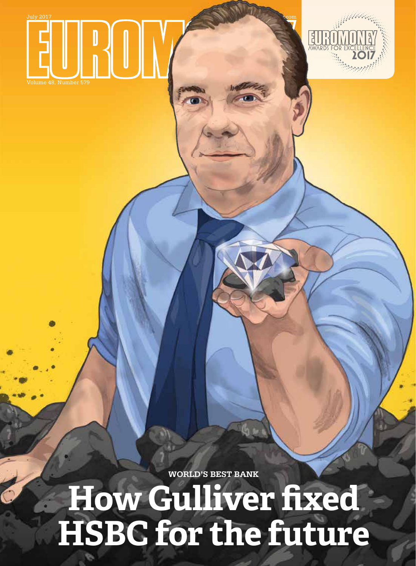# **WORLD'S BEST BANK How Gulliver fixed HSBC for the future**

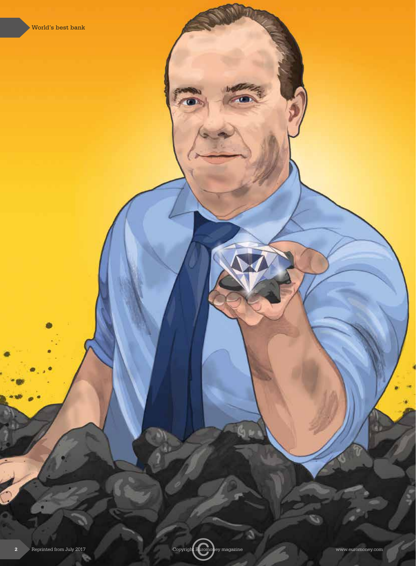$\hat{\mathcal{S}}$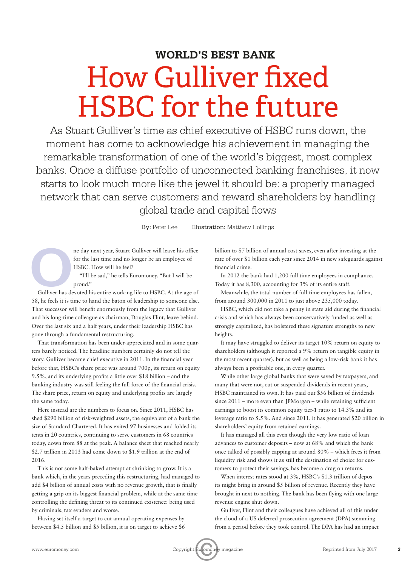## **WORLD'S BEST BANK**

## How Gulliver fixed HSBC for the future

As Stuart Gulliver's time as chief executive of HSBC runs down, the moment has come to acknowledge his achievement in managing the remarkable transformation of one of the world's biggest, most complex banks. Once a diffuse portfolio of unconnected banking franchises, it now starts to look much more like the jewel it should be: a properly managed network that can serve customers and reward shareholders by handling global trade and capital flows

By: Peter Lee Illustration: Matthew Hollings

**OPER THE MANUSE SET AND THE MANUSTER SURFERENCE AND HOTEL OF THE OF THE SEC. How will he feel?<br>
<b>OPER THE WANTER SET AND FIND SET AND FIND SET AND FIND SPOUL."**<br>
Gulliver has devoted his entire working life to HSBC. At th for the last time and no longer be an employee of HSBC. How will he feel?

"I'll be sad," he tells Euromoney. "But I will be proud."

Gulliver has devoted his entire working life to HSBC. At the age of 58, he feels it is time to hand the baton of leadership to someone else. That successor will benefit enormously from the legacy that Gulliver and his long-time colleague as chairman, Douglas Flint, leave behind. Over the last six and a half years, under their leadership HSBC has gone through a fundamental restructuring.

That transformation has been under-appreciated and in some quarters barely noticed. The headline numbers certainly do not tell the story. Gulliver became chief executive in 2011. In the financial year before that, HSBC's share price was around 700p, its return on equity 9.5%, and its underlying profits a little over \$18 billion – and the banking industry was still feeling the full force of the financial crisis. The share price, return on equity and underlying profits are largely the same today.

Here instead are the numbers to focus on. Since 2011, HSBC has shed \$290 billion of risk-weighted assets, the equivalent of a bank the size of Standard Chartered. It has exited 97 businesses and folded its tents in 20 countries, continuing to serve customers in 68 countries today, down from 88 at the peak. A balance sheet that reached nearly \$2.7 trillion in 2013 had come down to \$1.9 trillion at the end of 2016.

This is not some half-baked attempt at shrinking to grow. It is a bank which, in the years preceding this restructuring, had managed to add \$4 billion of annual costs with no revenue growth, that is finally getting a grip on its biggest financial problem, while at the same time controlling the defining threat to its continued existence: being used by criminals, tax evaders and worse.

Having set itself a target to cut annual operating expenses by between \$4.5 billion and \$5 billion, it is on target to achieve \$6

billion to \$7 billion of annual cost saves, even after investing at the rate of over \$1 billion each year since 2014 in new safeguards against financial crime.

In 2012 the bank had 1,200 full time employees in compliance. Today it has 8,300, accounting for 3% of its entire staff.

Meanwhile, the total number of full-time employees has fallen, from around 300,000 in 2011 to just above 235,000 today.

HSBC, which did not take a penny in state aid during the financial crisis and which has always been conservatively funded as well as strongly capitalized, has bolstered these signature strengths to new heights.

It may have struggled to deliver its target 10% return on equity to shareholders (although it reported a 9% return on tangible equity in the most recent quarter), but as well as being a low-risk bank it has always been a profitable one, in every quarter.

While other large global banks that were saved by taxpayers, and many that were not, cut or suspended dividends in recent years, HSBC maintained its own. It has paid out \$56 billion of dividends since 2011 – more even than JPMorgan – while retaining sufficient earnings to boost its common equity tier-1 ratio to 14.3% and its leverage ratio to 5.5%. And since 2011, it has generated \$20 billion in shareholders' equity from retained earnings.

It has managed all this even though the very low ratio of loan advances to customer deposits – now at 68% and which the bank once talked of possibly capping at around 80% – which frees it from liquidity risk and shows it as still the destination of choice for customers to protect their savings, has become a drag on returns.

When interest rates stood at 3%, HSBC's \$1.3 trillion of deposits might bring in around \$5 billion of revenue. Recently they have brought in next to nothing. The bank has been flying with one large revenue engine shut down.

Gulliver, Flint and their colleagues have achieved all of this under the cloud of a US deferred prosecution agreement (DPA) stemming from a period before they took control. The DPA has had an impact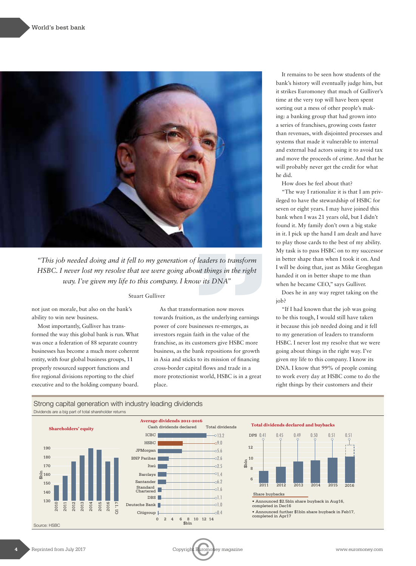

*"This job needed doing and it fell to my generation of leaders to transform HSBC. I never lost my resolve that we were going about things in the right way. I've given my life to this company. I know its DNA"*

### Stuart Gulliver

not just on morale, but also on the bank's ability to win new business.

Most importantly, Gulliver has transformed the way this global bank is run. What was once a federation of 88 separate country businesses has become a much more coherent entity, with four global business groups, 11 properly resourced support functions and five regional divisions reporting to the chief executive and to the holding company board.

As that transformation now moves towards fruition, as the underlying earnings power of core businesses re-emerges, as investors regain faith in the value of the franchise, as its customers give HSBC more business, as the bank repositions for growth in Asia and sticks to its mission of financing cross-border capital flows and trade in a more protectionist world, HSBC is in a great place.

It remains to be seen how students of the bank's history will eventually judge him, but it strikes Euromoney that much of Gulliver's time at the very top will have been spent sorting out a mess of other people's making: a banking group that had grown into a series of franchises, growing costs faster than revenues, with disjointed processes and systems that made it vulnerable to internal and external bad actors using it to avoid tax and move the proceeds of crime. And that he will probably never get the credit for what he did.

How does he feel about that?

"The way I rationalize it is that I am privileged to have the stewardship of HSBC for seven or eight years. I may have joined this bank when I was 21 years old, but I didn't found it. My family don't own a big stake in it. I pick up the hand I am dealt and have to play those cards to the best of my ability. My task is to pass HSBC on to my successor in better shape than when I took it on. And I will be doing that, just as Mike Geoghegan handed it on in better shape to me than when he became CEO," says Gulliver.

Does he in any way regret taking on the job?

"If I had known that the job was going to be this tough, I would still have taken it because this job needed doing and it fell to my generation of leaders to transform HSBC. I never lost my resolve that we were going about things in the right way. I've given my life to this company. I know its DNA. I know that 99% of people coming to work every day at HSBC come to do the right things by their customers and their

#### Strong capital generation with industry leading dividends Dividends are a big part of total shareholder returns



Reprinted from July 2017 Copyright Euromoney magazine Www.euromoney.com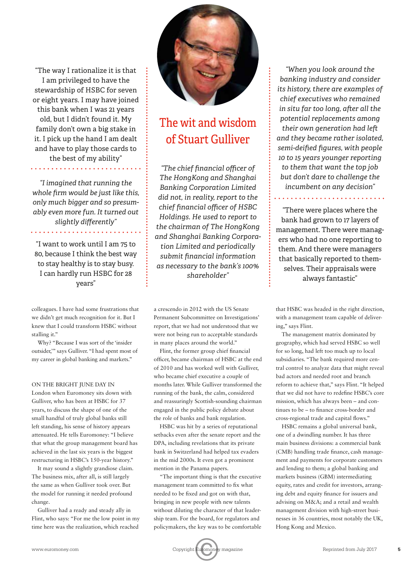"The way I rationalize it is that I am privileged to have the stewardship of HSBC for seven or eight years. I may have joined this bank when I was 21 years old, but I didn't found it. My family don't own a big stake in it. I pick up the hand I am dealt and have to play those cards to the best of my ability"

*whole firm would be just like this, only much bigger and so presumably even more fun. It turned out slightly differently"* . . . . . . . . . .

"I want to work until I am 75 to 80, because I think the best way to stay healthy is to stay busy. I can hardly run HSBC for 28 years"

colleagues. I have had some frustrations that we didn't get much recognition for it. But I knew that I could transform HSBC without stalling it."

Why? "Because I was sort of the 'insider outsider,'" says Gulliver. "I had spent most of my career in global banking and markets."

#### ON THE BRIGHT JUNE DAY IN

London when Euromoney sits down with Gulliver, who has been at HSBC for 37 years, to discuss the shape of one of the small handful of truly global banks still left standing, his sense of history appears attenuated. He tells Euromoney: "I believe that what the group management board has achieved in the last six years is the biggest restructuring in HSBC's 150-year history."

It may sound a slightly grandiose claim. The business mix, after all, is still largely the same as when Gulliver took over. But the model for running it needed profound change.

Gulliver had a ready and steady ally in Flint, who says: "For me the low point in my time here was the realization, which reached

## The wit and wisdom of Stuart Gulliver

*incumbent on any decision" "I imagined that running the Banking Corporation Limited "The chief financial officer of The HongKong and Shanghai did not, in reality, report to the chief financial officer of HSBC Holdings. He used to report to the chairman of The HongKong and Shanghai Banking Corporation Limited and periodically submit financial information as necessary to the bank's 100% shareholder"*

> a crescendo in 2012 with the US Senate Permanent Subcommittee on Investigations' report, that we had not understood that we were not being run to acceptable standards in many places around the world."

Flint, the former group chief financial officer, became chairman of HSBC at the end of 2010 and has worked well with Gulliver, who became chief executive a couple of months later. While Gulliver transformed the running of the bank, the calm, considered and reassuringly Scottish-sounding chairman engaged in the public policy debate about the role of banks and bank regulation.

HSBC was hit by a series of reputational setbacks even after the senate report and the DPA, including revelations that its private bank in Switzerland had helped tax evaders in the mid 2000s. It even got a prominent mention in the Panama papers.

"The important thing is that the executive management team committed to fix what needed to be fixed and got on with that, bringing in new people with new talents without diluting the character of that leadership team. For the board, for regulators and policymakers, the key was to be comfortable

*"When you look around the banking industry and consider its history, there are examples of chief executives who remained in situ far too long, after all the potential replacements among their own generation had left and they became rather isolated, semi-deified figures, with people 10 to 15 years younger reporting to them that want the top job but don't dare to challenge the* 

"There were places where the bank had grown to 17 layers of management. There were managers who had no one reporting to them. And there were managers that basically reported to themselves. Their appraisals were always fantastic"

that HSBC was headed in the right direction, with a management team capable of delivering," says Flint.

The management matrix dominated by geography, which had served HSBC so well for so long, had left too much up to local subsidiaries. "The bank required more central control to analyze data that might reveal bad actors and needed root and branch reform to achieve that," says Flint. "It helped that we did not have to redefine HSBC's core mission, which has always been – and continues to be – to finance cross-border and cross-regional trade and capital flows."

HSBC remains a global universal bank, one of a dwindling number. It has three main business divisions: a commercial bank (CMB) handling trade finance, cash management and payments for corporate customers and lending to them; a global banking and markets business (GBM) intermediating equity, rates and credit for investors, arranging debt and equity finance for issuers and advising on M&A; and a retail and wealth management division with high-street businesses in 36 countries, most notably the UK, Hong Kong and Mexico.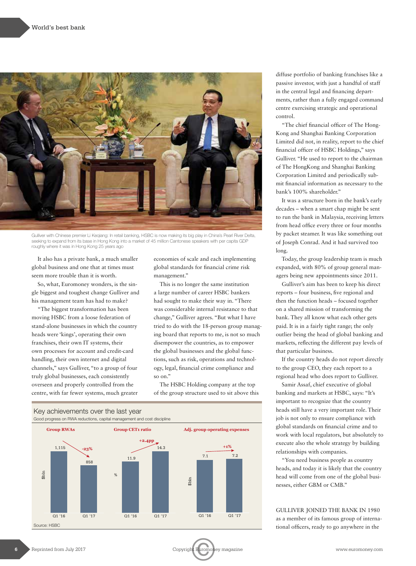

Gulliver with Chinese premier Li Keqiang: In retail banking, HSBC is now making its big play in China's Pearl River Delta, seeking to expand from its base in Hong Kong into a market of 45 million Cantonese speakers with per capita GDP roughly where it was in Hong Kong 25 years ago

It also has a private bank, a much smaller global business and one that at times must seem more trouble than it is worth.

So, what, Euromoney wonders, is the single biggest and toughest change Gulliver and his management team has had to make?

"The biggest transformation has been moving HSBC from a loose federation of stand-alone businesses in which the country heads were 'kings', operating their own franchises, their own IT systems, their own processes for account and credit-card handling, their own internet and digital channels," says Gulliver, "to a group of four truly global businesses, each consistently overseen and properly controlled from the centre, with far fewer systems, much greater economies of scale and each implementing global standards for financial crime risk management."

This is no longer the same institution a large number of career HSBC bankers had sought to make their way in. "There was considerable internal resistance to that change," Gulliver agrees. "But what I have tried to do with the 18-person group managing board that reports to me, is not so much disempower the countries, as to empower the global businesses and the global functions, such as risk, operations and technology, legal, financial crime compliance and so on."

The HSBC Holding company at the top of the group structure used to sit above this



diffuse portfolio of banking franchises like a passive investor, with just a handful of staff in the central legal and financing departments, rather than a fully engaged command centre exercising strategic and operational control.

"The chief financial officer of The Hong-Kong and Shanghai Banking Corporation Limited did not, in reality, report to the chief financial officer of HSBC Holdings," says Gulliver. "He used to report to the chairman of The HongKong and Shanghai Banking Corporation Limited and periodically submit financial information as necessary to the bank's 100% shareholder."

It was a structure born in the bank's early decades – when a smart chap might be sent to run the bank in Malaysia, receiving letters from head office every three or four months by packet steamer. It was like something out of Joseph Conrad. And it had survived too long.

Today, the group leadership team is much expanded, with 80% of group general managers being new appointments since 2011.

Gulliver's aim has been to keep his direct reports – four business, five regional and then the function heads – focused together on a shared mission of transforming the bank. They all know what each other gets paid. It is in a fairly tight range; the only outlier being the head of global banking and markets, reflecting the different pay levels of that particular business.

If the country heads do not report directly to the group CEO, they each report to a regional head who does report to Gulliver.

Samir Assaf, chief executive of global banking and markets at HSBC, says: "It's important to recognize that the country heads still have a very important role. Their job is not only to ensure compliance with global standards on financial crime and to work with local regulators, but absolutely to execute also the whole strategy by building relationships with companies.

"You need business people as country heads, and today it is likely that the country head will come from one of the global businesses, either GBM or CMB."

GULLIVER JOINED THE BANK IN 1980 as a member of its famous group of international officers, ready to go anywhere in the

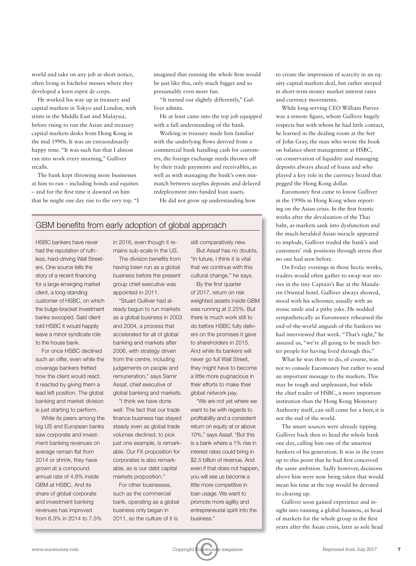world and take on any job at short notice, often living in bachelor messes where they developed a keen esprit de corps.

He worked his way up in treasury and capital markets in Tokyo and London, with stints in the Middle East and Malaysia, before rising to run the Asian and treasury capital markets desks from Hong Kong in the mid 1990s. It was an extraordinarily happy time. "It was such fun that I almost ran into work every morning," Gulliver recalls.

The bank kept throwing more businesses at him to run – including bonds and equities – and for the first time it dawned on him that he might one day rise to the very top. "I imagined that running the whole firm would be just like this, only much bigger and so presumably even more fun.

"It turned out slightly differently," Gulliver admits.

He at least came into the top job equipped with a full understanding of the bank.

Working in treasury made him familiar with the underlying flows derived from a commercial bank handling cash for customers, the foreign exchange needs thrown off by their trade payments and receivables, as well as with managing the bank's own mismatch between surplus deposits and delayed redeployment into funded loan assets.

He did not grow up understanding how

## GBM benefits from early adoption of global approach

HSBC bankers have never had the reputation of ruthless, hard-driving Wall Streeters. One source tells the story of a recent financing for a large emerging market client, a long-standing customer of HSBC, on which the bulge-bracket investment banks swooped. Said client told HSBC it would happily leave a minor syndicate role to the house bank.

For once HSBC declined such an offer, even while the coverage bankers fretted how the client would react. It reacted by giving them a lead left position. The global banking and market division is just starting to perform.

While its peers among the big US and European banks saw corporate and investment banking revenues on average remain flat from 2014 or shrink, they have grown at a compound annual rate of 4.8% inside GBM at HSBC. And its share of global corporate and investment banking revenues has improved from 6.3% in 2014 to 7.5%

in 2016, even though it remains sub-scale in the US.

The division benefits from having been run as a global business before the present group chief executive was appointed in 2011.

"Stuart Gulliver had already begun to run markets as a global business in 2003 and 2004, a process that accelerated for all of global banking and markets after 2006, with strategy driven from the centre, including judgements on people and remuneration," says Samir Assaf, chief executive of global banking and markets.

"I think we have done well. The fact that our trade finance business has stayed steady even as global trade volumes declined, to pick just one example, is remarkable. Our FX proposition for corporates is also remarkable, as is our debt capital markets proposition."

For other businesses, such as the commercial bank, operating as a global business only began in 2011, so the culture of it is

still comparatively new.

But Assaf has no doubts. "In future, I think it is vital that we continue with this cultural change," he says. By the first quarter

of 2017, return on risk weighted assets inside GBM was running at 2.25%. But there is much work still to do before HSBC fully delivers on the promises it gave to shareholders in 2015. And while its bankers will never go full Wall Street, they might have to become a little more pugnacious in their efforts to make their global network pay.

"We are not yet where we want to be with regards to profitability and a consistent return on equity at or above 10%," says Assaf. "But this is a bank where a 1% rise in interest rates could bring in \$2.5 billion of revenue. And even if that does not happen, you will see us become a little more competitive in loan usage. We want to promote more agility and entrepreneurial spirit into the business."

to create the impression of scarcity in an equity capital markets deal, but rather steeped in short-term money market interest rates and currency movements.

While long-serving CEO William Purves was a remote figure, whom Gulliver hugely respects but with whom he had little contact, he learned in the dealing room at the feet of John Gray, the man who wrote the book on balance-sheet management at HSBC, on conservation of liquidity and managing deposits always ahead of loans and who played a key role in the currency board that pegged the Hong Kong dollar.

Euromoney first came to know Gulliver in the 1990s in Hong Kong when reporting on the Asian crisis. In the first frantic weeks after the devaluation of the Thai baht, as markets sank into dysfunction and the much-heralded Asian miracle appeared to implode, Gulliver traded the bank's and customers' risk positions through stress that no one had seen before.

On Friday evenings in those hectic weeks, traders would often gather to swap war stories in the tiny Captain's Bar at the Mandarin Oriental hotel. Gulliver always showed, stood with his schooner, usually with an ironic smile and a pithy joke. He nodded sympathetically as Euromoney rehearsed the end-of-the-world anguish of the bankers we had interviewed that week. "That's right," he assured us, "we're all going to be much better people for having lived through this."

What he was there to do, of course, was not to console Euromoney but rather to send an important message to the markets. This may be tough and unpleasant, but while the chief trader of HSBC, a more important institution than the Hong Kong Monetary Authority itself, can still come for a beer, it is not the end of the world.

The smart sources were already tipping Gulliver back then to head the whole bank one day, calling him one of the smartest bankers of his generation. It was in the years up to this point that he had first conceived the same ambition. Sadly however, decisions above him were now being taken that would mean his time at the top would be devoted to clearing up.

Gulliver soon gained experience and insight into running a global business, as head of markets for the whole group in the first years after the Asian crisis, later as sole head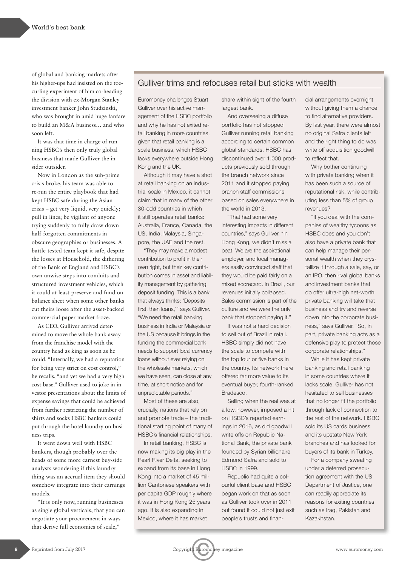of global and banking markets after his higher-ups had insisted on the toecurling experiment of him co-heading the division with ex-Morgan Stanley investment banker John Studzinski, who was brought in amid huge fanfare to build an M&A business… and who soon left.

It was that time in charge of running HSBC's then only truly global business that made Gulliver the insider outsider.

Now in London as the sub-prime crisis broke, his team was able to re-run the entire playbook that had kept HSBC safe during the Asian crisis – get very liquid, very quickly; pull in lines; be vigilant of anyone trying suddenly to fully draw down half-forgotten commitments in obscure geographies or businesses. A battle-tested team kept it safe, despite the losses at Household, the dithering of the Bank of England and HSBC's own unwise steps into conduits and structured investment vehicles, which it could at least preserve and fund on balance sheet when some other banks cut theirs loose after the asset-backed commercial paper market froze.

As CEO, Gulliver arrived determined to move the whole bank away from the franchise model with the country head as king as soon as he could. "Internally, we had a reputation for being very strict on cost control," he recalls, "and yet we had a very high cost base." Gulliver used to joke in investor presentations about the limits of expense savings that could be achieved from further restricting the number of shirts and socks HSBC bankers could put through the hotel laundry on business trips.

It went down well with HSBC bankers, though probably over the heads of some more earnest buy-side analysts wondering if this laundry thing was an accrual item they should somehow integrate into their earnings models.

"It is only now, running businesses as single global verticals, that you can negotiate your procurement in ways that derive full economies of scale,"

## Gulliver trims and refocuses retail but sticks with wealth

Euromoney challenges Stuart Gulliver over his active management of the HSBC portfolio and why he has not exited retail banking in more countries, given that retail banking is a scale business, which HSBC lacks everywhere outside Hong Kong and the UK.

Although it may have a shot at retail banking on an industrial scale in Mexico, it cannot claim that in many of the other 30-odd countries in which it still operates retail banks: Australia, France, Canada, the US, India, Malaysia, Singapore, the UAE and the rest.

"They may make a modest contribution to profit in their own right, but their key contribution comes in asset and liability management by gathering deposit funding. This is a bank that always thinks: 'Deposits first, then loans,'" says Gulliver. "We need the retail banking business in India or Malaysia or the US because it brings in the funding the commercial bank needs to support local currency loans without ever relying on the wholesale markets, which we have seen, can close at any time, at short notice and for unpredictable periods."

Most of these are also, crucially, nations that rely on and promote trade – the traditional starting point of many of HSBC's financial relationships.

In retail banking, HSBC is now making its big play in the Pearl River Delta, seeking to expand from its base in Hong Kong into a market of 45 million Cantonese speakers with per capita GDP roughly where it was in Hong Kong 25 years ago. It is also expanding in Mexico, where it has market

share within sight of the fourth largest bank.

And overseeing a diffuse portfolio has not stopped Gulliver running retail banking according to certain common global standards. HSBC has discontinued over 1,000 products previously sold through the branch network since 2011 and it stopped paying branch staff commissions based on sales everywhere in the world in 2013.

"That had some very interesting impacts in different countries," says Gulliver. "In Hong Kong, we didn't miss a beat. We are the aspirational employer, and local managers easily convinced staff that they would be paid fairly on a mixed scorecard. In Brazil, our revenues initially collapsed. Sales commission is part of the culture and we were the only bank that stopped paying it."

It was not a hard decision to sell out of Brazil in retail. HSBC simply did not have the scale to compete with the top four or five banks in the country. Its network there offered far more value to its eventual buyer, fourth-ranked Bradesco.

Selling when the real was at a low, however, imposed a hit on HSBC's reported earnings in 2016, as did goodwill write offs on Republic National Bank, the private bank founded by Syrian billionaire Edmond Safra and sold to HSBC in 1999.

Republic had quite a colourful client base and HSBC began work on that as soon as Gulliver took over in 2011 but found it could not just exit people's trusts and financial arrangements overnight without giving them a chance to find alternative providers. By last year, there were almost no original Safra clients left and the right thing to do was write off acquisition goodwill to reflect that.

Why bother continuing with private banking when it has been such a source of reputational risk, while contributing less than 5% of group revenues?

"If you deal with the companies of wealthy tycoons as HSBC does and you don't also have a private bank that can help manage their personal wealth when they crystallize it through a sale, say, or an IPO, then rival global banks and investment banks that do offer ultra-high net-worth private banking will take that business and try and reverse down into the corporate business," says Gulliver. "So, in part, private banking acts as a defensive play to protect those corporate relationships."

While it has kept private banking and retail banking in some countries where it lacks scale, Gulliver has not hesitated to sell businesses that no longer fit the portfolio through lack of connection to the rest of the network. HSBC sold its US cards business and its upstate New York branches and has looked for buyers of its bank in Turkey.

For a company sweating under a deferred prosecution agreement with the US Department of Justice, one can readily appreciate its reasons for exiting countries such as Iraq, Pakistan and Kazakhstan.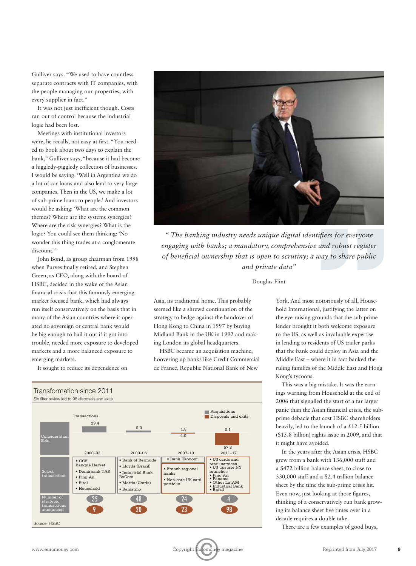Gulliver says. "We used to have countless separate contracts with IT companies, with the people managing our properties, with every supplier in fact."

It was not just inefficient though. Costs ran out of control because the industrial logic had been lost.

Meetings with institutional investors were, he recalls, not easy at first. "You needed to book about two days to explain the bank," Gulliver says, "because it had become a higgledy-piggledy collection of businesses. I would be saying: 'Well in Argentina we do a lot of car loans and also lend to very large companies. Then in the US, we make a lot of sub-prime loans to people.' And investors would be asking: 'What are the common themes? Where are the systems synergies? Where are the risk synergies? What is the logic? You could see them thinking: 'No wonder this thing trades at a conglomerate discount."

John Bond, as group chairman from 1998 when Purves finally retired, and Stephen Green, as CEO, along with the board of HSBC, decided in the wake of the Asian financial crisis that this famously emergingmarket focused bank, which had always run itself conservatively on the basis that in many of the Asian countries where it operated no sovereign or central bank would be big enough to bail it out if it got into trouble, needed more exposure to developed markets and a more balanced exposure to emerging markets.

It sought to reduce its dependence on



*" The banking industry needs unique digital identifiers for everyone engaging with banks; a mandatory, comprehensive and robust register of beneficial ownership that is open to scrutiny; a way to share public and private data"*

Douglas Flint

Asia, its traditional home. This probably seemed like a shrewd continuation of the strategy to hedge against the handover of Hong Kong to China in 1997 by buying Midland Bank in the UK in 1992 and making London its global headquarters.

HSBC became an acquisition machine, hoovering up banks like Credit Commercial de France, Republic National Bank of New



Source: HSBC

York. And most notoriously of all, Household International, justifying the latter on the eye-raising grounds that the sub-prime lender brought it both welcome exposure to the US, as well as invaluable expertise in lending to residents of US trailer parks that the bank could deploy in Asia and the Middle East – where it in fact banked the ruling families of the Middle East and Hong Kong's tycoons.

This was a big mistake. It was the earnings warning from Household at the end of 2006 that signalled the start of a far larger panic than the Asian financial crisis, the subprime debacle that cost HSBC shareholders heavily, led to the launch of a  $£12.5$  billion (\$15.8 billion) rights issue in 2009, and that it might have avoided.

In the years after the Asian crisis, HSBC grew from a bank with 136,000 staff and a \$472 billion balance sheet, to close to 330,000 staff and a \$2.4 trillion balance sheet by the time the sub-prime crisis hit. Even now, just looking at those figures, thinking of a conservatively run bank growing its balance sheet five times over in a decade requires a double take.

There are a few examples of good buys,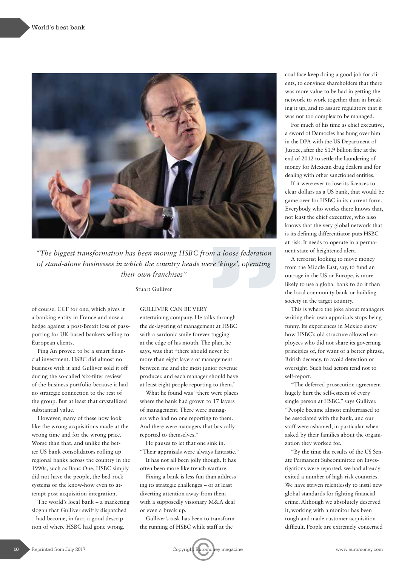

*"The biggest transformation has been moving HSBC from a loose federation of stand-alone businesses in which the country heads were 'kings', operating their own franchises"*

Stuart Gulliver

## GULLIVER CAN BE VERY

of course: CCF for one, which gives it a banking entity in France and now a hedge against a post-Brexit loss of passporting for UK-based bankers selling to European clients.

Ping An proved to be a smart financial investment. HSBC did almost no business with it and Gulliver sold it off during the so-called 'six-filter review' of the business portfolio because it had no strategic connection to the rest of the group. But at least that crystallized substantial value.

However, many of these now look like the wrong acquisitions made at the wrong time and for the wrong price. Worse than that, and unlike the better US bank consolidators rolling up regional banks across the country in the 1990s, such as Banc One, HSBC simply did not have the people, the bed-rock systems or the know-how even to attempt post-acquisition integration.

The world's local bank – a marketing slogan that Gulliver swiftly dispatched – had become, in fact, a good description of where HSBC had gone wrong.

entertaining company. He talks through the de-layering of management at HSBC with a sardonic smile forever tugging at the edge of his mouth. The plan, he says, was that "there should never be more than eight layers of management between me and the most junior revenue producer, and each manager should have at least eight people reporting to them."

What he found was "there were places where the bank had grown to 17 layers of management. There were managers who had no one reporting to them. And there were managers that basically reported to themselves."

He pauses to let that one sink in. "Their appraisals were always fantastic."

It has not all been jolly though. It has often been more like trench warfare.

Fixing a bank is less fun than addressing its strategic challenges – or at least diverting attention away from them – with a supposedly visionary M&A deal or even a break up.

Gulliver's task has been to transform the running of HSBC while staff at the

coal face keep doing a good job for clients, to convince shareholders that there was more value to be had in getting the network to work together than in breaking it up, and to assure regulators that it was not too complex to be managed.

For much of his time as chief executive, a sword of Damocles has hung over him in the DPA with the US Department of Justice, after the \$1.9 billion fine at the end of 2012 to settle the laundering of money for Mexican drug dealers and for dealing with other sanctioned entities.

If it were ever to lose its licences to clear dollars as a US bank, that would be game over for HSBC in its current form. Everybody who works there knows that, not least the chief executive, who also knows that the very global network that is its defining differentiator puts HSBC at risk. It needs to operate in a permanent state of heightened alert.

A terrorist looking to move money from the Middle East, say, to fund an outrage in the US or Europe, is more likely to use a global bank to do it than the local community bank or building society in the target country.

This is where the joke about managers writing their own appraisals stops being funny. Its experiences in Mexico show how HSBC's old structure allowed employees who did not share its governing principles of, for want of a better phrase, British decency, to avoid detection or oversight. Such bad actors tend not to self-report.

"The deferred prosecution agreement hugely hurt the self-esteem of every single person at HSBC," says Gulliver. "People became almost embarrassed to be associated with the bank, and our staff were ashamed, in particular when asked by their families about the organization they worked for.

"By the time the results of the US Senate Permanent Subcommittee on Investigations were reported, we had already exited a number of high-risk countries. We have striven relentlessly to instil new global standards for fighting financial crime. Although we absolutely deserved it, working with a monitor has been tough and made customer acquisition difficult. People are extremely concerned

**10**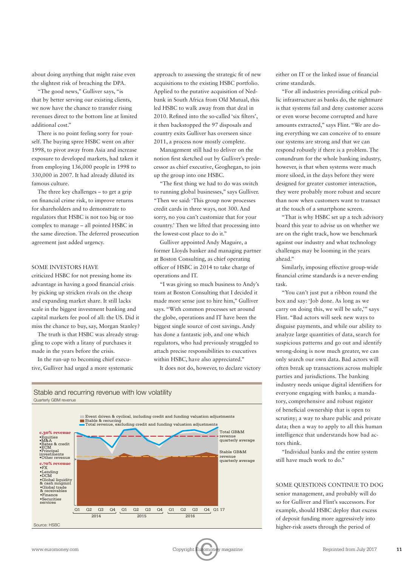about doing anything that might raise even the slightest risk of breaching the DPA.

"The good news," Gulliver says, "is that by better serving our existing clients, we now have the chance to transfer rising revenues direct to the bottom line at limited additional cost."

There is no point feeling sorry for yourself. The buying spree HSBC went on after 1998, to pivot away from Asia and increase exposure to developed markets, had taken it from employing 136,000 people in 1998 to 330,000 in 2007. It had already diluted its famous culture.

The three key challenges – to get a grip on financial crime risk, to improve returns for shareholders and to demonstrate to regulators that HSBC is not too big or too complex to manage – all pointed HSBC in the same direction. The deferred prosecution agreement just added urgency.

## SOME INVESTORS HAVE

criticized HSBC for not pressing home its advantage in having a good financial crisis by picking up stricken rivals on the cheap and expanding market share. It still lacks scale in the biggest investment banking and capital markets fee pool of all: the US. Did it miss the chance to buy, say, Morgan Stanley?

The truth is that HSBC was already struggling to cope with a litany of purchases it made in the years before the crisis.

In the run-up to becoming chief executive, Gulliver had urged a more systematic approach to assessing the strategic fit of new acquisitions to the existing HSBC portfolio. Applied to the putative acquisition of Nedbank in South Africa from Old Mutual, this led HSBC to walk away from that deal in 2010. Refined into the so-called 'six filters', it then backstopped the 97 disposals and country exits Gulliver has overseen since 2011, a process now mostly complete.

Management still had to deliver on the notion first sketched out by Gulliver's predecessor as chief executive, Geoghegan, to join up the group into one HSBC.

"The first thing we had to do was switch to running global businesses," says Gulliver. "Then we said: 'This group now processes credit cards in three ways, not 300. And sorry, no you can't customize that for your country.' Then we lifted that processing into the lowest-cost place to do it."

Gulliver appointed Andy Maguire, a former Lloyds banker and managing partner at Boston Consulting, as chief operating officer of HSBC in 2014 to take charge of operations and IT.

"I was giving so much business to Andy's team at Boston Consulting that I decided it made more sense just to hire him," Gulliver says. "With common processes set around the globe, operations and IT have been the biggest single source of cost savings. Andy has done a fantastic job, and one which regulators, who had previously struggled to attach precise responsibilities to executives within HSBC, have also appreciated."

It does not do, however, to declare victory



Source: HSBC

either on IT or the linked issue of financial crime standards.

"For all industries providing critical public infrastructure as banks do, the nightmare is that systems fail and deny customer access or even worse become corrupted and have amounts extracted," says Flint. "We are doing everything we can conceive of to ensure our systems are strong and that we can respond robustly if there is a problem. The conundrum for the whole banking industry, however, is that when systems were much more siloed, in the days before they were designed for greater customer interaction. they were probably more robust and secure than now when customers want to transact at the touch of a smartphone screen.

"That is why HSBC set up a tech advisory board this year to advise us on whether we are on the right track, how we benchmark against our industry and what technology challenges may be looming in the years ahead."

Similarly, imposing effective group-wide financial crime standards is a never-ending task.

"You can't just put a ribbon round the box and say: 'Job done. As long as we carry on doing this, we will be safe,'" says Flint. "Bad actors will seek new ways to disguise payments, and while our ability to analyze large quantities of data, search for suspicious patterns and go out and identify wrong-doing is now much greater, we can only search our own data. Bad actors will often break up transactions across multiple parties and jurisdictions. The banking industry needs unique digital identifiers for everyone engaging with banks; a mandatory, comprehensive and robust register of beneficial ownership that is open to scrutiny; a way to share public and private data; then a way to apply to all this human intelligence that understands how bad actors think.

"Individual banks and the entire system still have much work to do."

SOME QUESTIONS CONTINUE TO DOG senior management, and probably will do so for Gulliver and Flint's successors. For example, should HSBC deploy that excess of deposit funding more aggressively into higher-risk assets through the period of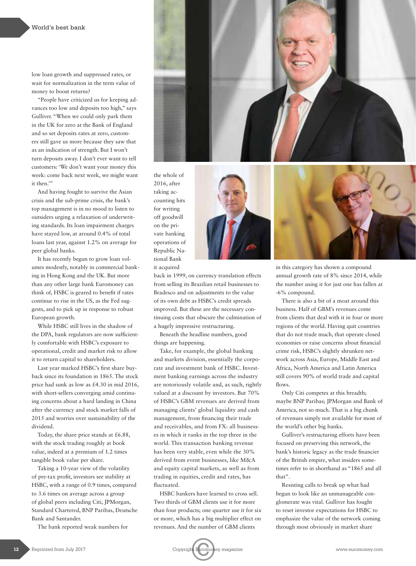low loan growth and suppressed rates, or wait for normalization in the term value of money to boost returns?

"People have criticized us for keeping advances too low and deposits too high," says Gulliver. "When we could only park them in the UK for zero at the Bank of England and so set deposits rates at zero, customers still gave us more because they saw that as an indication of strength. But I won't turn deposits away. I don't ever want to tell customers: 'We don't want your money this week: come back next week, we might want it then."

And having fought to survive the Asian crisis and the sub-prime crisis, the bank's top management is in no mood to listen to outsiders urging a relaxation of underwriting standards. Its loan impairment charges have stayed low, at around 0.4% of total loans last year, against 1.2% on average for peer global banks.

It has recently begun to grow loan volumes modestly, notably in commercial banking in Hong Kong and the UK. But more than any other large bank Euromoney can think of, HSBC is geared to benefit if rates continue to rise in the US, as the Fed suggests, and to pick up in response to robust European growth.

While HSBC still lives in the shadow of the DPA, bank regulators are now sufficiently comfortable with HSBC's exposure to operational, credit and market risk to allow it to return capital to shareholders.

Last year marked HSBC's first share buyback since its foundation in 1865. The stock price had sunk as low as £4.30 in mid 2016, with short-sellers converging amid continuing concerns about a hard landing in China after the currency and stock market falls of 2015 and worries over sustainability of the dividend.

Today, the share price stands at £6.88, with the stock trading roughly at book value, indeed at a premium of 1.2 times tangible book value per share.

Taking a 10-year view of the volatility of pre-tax profit, investors see stability at HSBC, with a range of 0.9 times, compared to 3.6 times on average across a group of global peers including Citi, JPMorgan, Standard Chartered, BNP Paribas, Deutsche Bank and Santander.

The bank reported weak numbers for



the whole of 2016, after taking accounting hits for writing off goodwill on the private banking operations of Republic National Bank it acquired



back in 1999, on currency translation effects from selling its Brazilian retail businesses to Bradesco and on adjustments to the value of its own debt as HSBC's credit spreads improved. But these are the necessary continuing costs that obscure the culmination of a hugely impressive restructuring.

Beneath the headline numbers, good things are happening.

Take, for example, the global banking and markets division, essentially the corporate and investment bank of HSBC. Investment banking earnings across the industry are notoriously volatile and, as such, rightly valued at a discount by investors. But 70% of HSBC's GBM revenues are derived from managing clients' global liquidity and cash management, from financing their trade and receivables, and from FX: all businesses in which it ranks in the top three in the world. This transaction banking revenue has been very stable, even while the 30% derived from event businesses, like M&A and equity capital markets, as well as from trading in equities, credit and rates, has fluctuated.

HSBC bankers have learned to cross sell. Two thirds of GBM clients use it for more than four products; one quarter use it for six or more, which has a big multiplier effect on revenues. And the number of GBM clients



in this category has shown a compound annual growth rate of 8% since 2014, while the number using it for just one has fallen at -6% compound.

There is also a bit of a moat around this business. Half of GBM's revenues come from clients that deal with it in four or more regions of the world. Having quit countries that do not trade much, that operate closed economies or raise concerns about financial crime risk, HSBC's slightly shrunken network across Asia, Europe, Middle East and Africa, North America and Latin America still covers 90% of world trade and capital flows

Only Citi competes at this breadth; maybe BNP Paribas; JPMorgan and Bank of America, not so much. That is a big chunk of revenues simply not available for most of the world's other big banks.

Gulliver's restructuring efforts have been focused on preserving this network, the bank's historic legacy as the trade financier of the British empire, what insiders sometimes refer to in shorthand as "1865 and all that".

Resisting calls to break up what had begun to look like an unmanageable conglomerate was vital. Gulliver has fought to reset investor expectations for HSBC to emphasize the value of the network coming through most obviously in market share

**12**